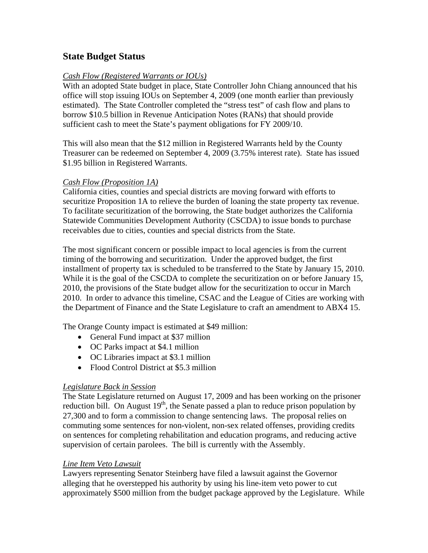# **State Budget Status**

#### *Cash Flow (Registered Warrants or IOUs)*

With an adopted State budget in place, State Controller John Chiang announced that his office will stop issuing IOUs on September 4, 2009 (one month earlier than previously estimated). The State Controller completed the "stress test" of cash flow and plans to borrow \$10.5 billion in Revenue Anticipation Notes (RANs) that should provide sufficient cash to meet the State's payment obligations for FY 2009/10.

This will also mean that the \$12 million in Registered Warrants held by the County Treasurer can be redeemed on September 4, 2009 (3.75% interest rate). State has issued \$1.95 billion in Registered Warrants.

#### *Cash Flow (Proposition 1A)*

California cities, counties and special districts are moving forward with efforts to securitize Proposition 1A to relieve the burden of loaning the state property tax revenue. To facilitate securitization of the borrowing, the State budget authorizes the California Statewide Communities Development Authority (CSCDA) to issue bonds to purchase receivables due to cities, counties and special districts from the State.

The most significant concern or possible impact to local agencies is from the current timing of the borrowing and securitization. Under the approved budget, the first installment of property tax is scheduled to be transferred to the State by January 15, 2010. While it is the goal of the CSCDA to complete the securitization on or before January 15, 2010, the provisions of the State budget allow for the securitization to occur in March 2010. In order to advance this timeline, CSAC and the League of Cities are working with the Department of Finance and the State Legislature to craft an amendment to ABX4 15.

The Orange County impact is estimated at \$49 million:

- General Fund impact at \$37 million
- OC Parks impact at \$4.1 million
- OC Libraries impact at \$3.1 million
- Flood Control District at \$5.3 million

#### *Legislature Back in Session*

The State Legislature returned on August 17, 2009 and has been working on the prisoner reduction bill. On August  $19<sup>th</sup>$ , the Senate passed a plan to reduce prison population by 27,300 and to form a commission to change sentencing laws. The proposal relies on commuting some sentences for non-violent, non-sex related offenses, providing credits on sentences for completing rehabilitation and education programs, and reducing active supervision of certain parolees. The bill is currently with the Assembly.

## *Line Item Veto Lawsuit*

Lawyers representing Senator Steinberg have filed a lawsuit against the Governor alleging that he overstepped his authority by using his line-item veto power to cut approximately \$500 million from the budget package approved by the Legislature. While